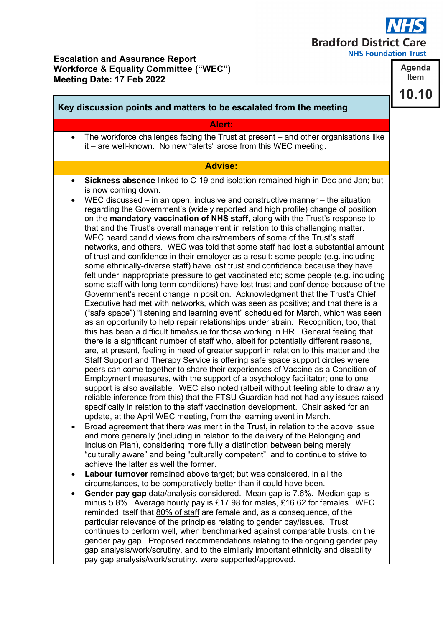## **Bradford District Care**

**NHS Foundation Trust** 

## **Escalation and Assurance Report Workforce & Equality Committee ("WEC") Meeting Date: 17 Feb 2022**

**Key discussion points and matters to be escalated from the meeting Alert:** • The workforce challenges facing the Trust at present – and other organisations like it – are well-known. No new "alerts" arose from this WEC meeting. **Advise:** • **Sickness absence** linked to C-19 and isolation remained high in Dec and Jan; but is now coming down. • WEC discussed – in an open, inclusive and constructive manner – the situation regarding the Government's (widely reported and high profile) change of position on the **mandatory vaccination of NHS staff**, along with the Trust's response to that and the Trust's overall management in relation to this challenging matter. WEC heard candid views from chairs/members of some of the Trust's staff networks, and others. WEC was told that some staff had lost a substantial amount of trust and confidence in their employer as a result: some people (e.g. including some ethnically-diverse staff) have lost trust and confidence because they have felt under inappropriate pressure to get vaccinated etc; some people (e.g. including some staff with long-term conditions) have lost trust and confidence because of the Government's recent change in position. Acknowledgment that the Trust's Chief Executive had met with networks, which was seen as positive; and that there is a ("safe space") "listening and learning event" scheduled for March, which was seen as an opportunity to help repair relationships under strain. Recognition, too, that this has been a difficult time/issue for those working in HR. General feeling that there is a significant number of staff who, albeit for potentially different reasons, are, at present, feeling in need of greater support in relation to this matter and the Staff Support and Therapy Service is offering safe space support circles where peers can come together to share their experiences of Vaccine as a Condition of Employment measures, with the support of a psychology facilitator; one to one support is also available. WEC also noted (albeit without feeling able to draw any reliable inference from this) that the FTSU Guardian had not had any issues raised specifically in relation to the staff vaccination development. Chair asked for an update, at the April WEC meeting, from the learning event in March. • Broad agreement that there was merit in the Trust, in relation to the above issue and more generally (including in relation to the delivery of the Belonging and Inclusion Plan), considering more fully a distinction between being merely "culturally aware" and being "culturally competent"; and to continue to strive to achieve the latter as well the former.

- **Labour turnover** remained above target; but was considered, in all the circumstances, to be comparatively better than it could have been.
- **Gender pay gap** data/analysis considered. Mean gap is 7.6%. Median gap is minus 5.8%. Average hourly pay is £17.98 for males, £16.62 for females. WEC reminded itself that 80% of staff are female and, as a consequence, of the particular relevance of the principles relating to gender pay/issues. Trust continues to perform well, when benchmarked against comparable trusts, on the gender pay gap. Proposed recommendations relating to the ongoing gender pay gap analysis/work/scrutiny, and to the similarly important ethnicity and disability pay gap analysis/work/scrutiny, were supported/approved.

**Agenda Item** 10.10